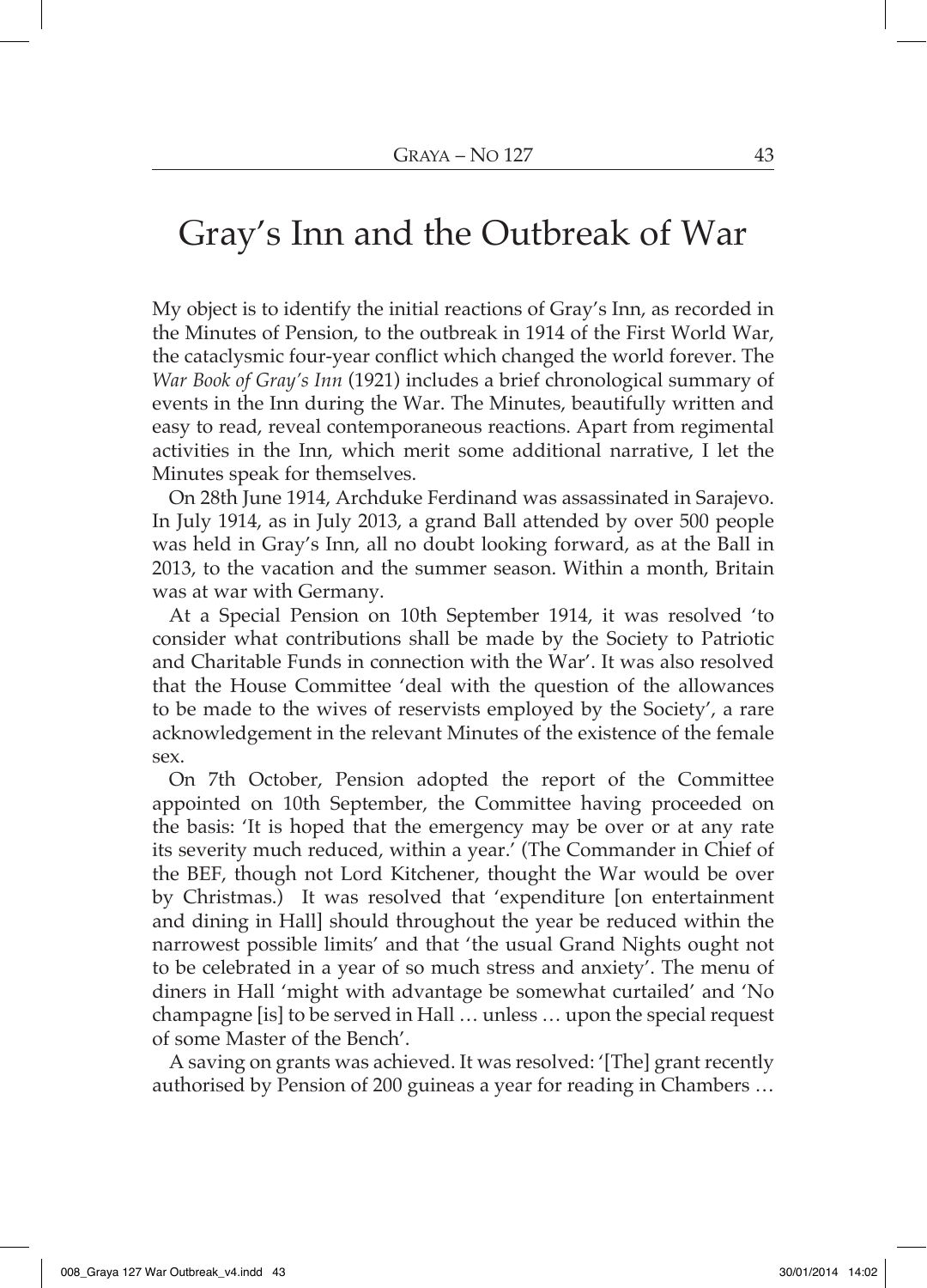## Gray's Inn and the Outbreak of War

My object is to identify the initial reactions of Gray's Inn, as recorded in the Minutes of Pension, to the outbreak in 1914 of the First World War, the cataclysmic four-year conflict which changed the world forever. The *War Book of Gray's Inn* (1921) includes a brief chronological summary of events in the Inn during the War. The Minutes, beautifully written and easy to read, reveal contemporaneous reactions. Apart from regimental activities in the Inn, which merit some additional narrative, I let the Minutes speak for themselves.

On 28th June 1914, Archduke Ferdinand was assassinated in Sarajevo. In July 1914, as in July 2013, a grand Ball attended by over 500 people was held in Gray's Inn, all no doubt looking forward, as at the Ball in 2013, to the vacation and the summer season. Within a month, Britain was at war with Germany.

At a Special Pension on 10th September 1914, it was resolved 'to consider what contributions shall be made by the Society to Patriotic and Charitable Funds in connection with the War'. It was also resolved that the House Committee 'deal with the question of the allowances to be made to the wives of reservists employed by the Society', a rare acknowledgement in the relevant Minutes of the existence of the female sex.

On 7th October, Pension adopted the report of the Committee appointed on 10th September, the Committee having proceeded on the basis: 'It is hoped that the emergency may be over or at any rate its severity much reduced, within a year.' (The Commander in Chief of the BEF, though not Lord Kitchener, thought the War would be over by Christmas.) It was resolved that 'expenditure [on entertainment and dining in Hall] should throughout the year be reduced within the narrowest possible limits' and that 'the usual Grand Nights ought not to be celebrated in a year of so much stress and anxiety'. The menu of diners in Hall 'might with advantage be somewhat curtailed' and 'No champagne [is] to be served in Hall ... unless ... upon the special request of some Master of the Bench'.

A saving on grants was achieved. It was resolved: '[The] grant recently authorised by Pension of 200 guineas a year for reading in Chambers ...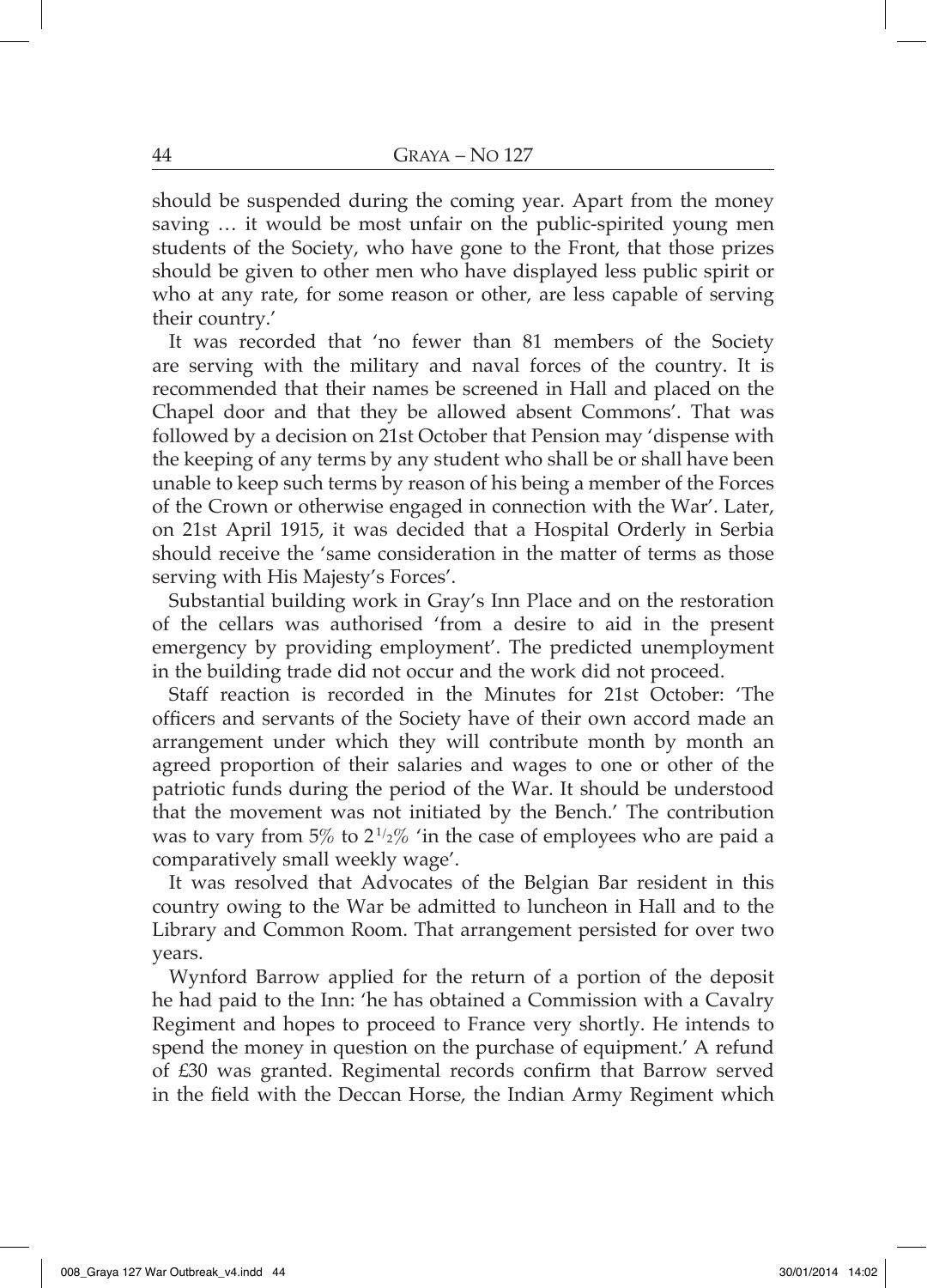should be suspended during the coming year. Apart from the money saving ... it would be most unfair on the public-spirited young men students of the Society, who have gone to the Front, that those prizes should be given to other men who have displayed less public spirit or who at any rate, for some reason or other, are less capable of serving their country.'

It was recorded that 'no fewer than 81 members of the Society are serving with the military and naval forces of the country. It is recommended that their names be screened in Hall and placed on the Chapel door and that they be allowed absent Commons'. That was followed by a decision on 21st October that Pension may 'dispense with the keeping of any terms by any student who shall be or shall have been unable to keep such terms by reason of his being a member of the Forces of the Crown or otherwise engaged in connection with the War'. Later, on 21st April 1915, it was decided that a Hospital Orderly in Serbia should receive the 'same consideration in the matter of terms as those serving with His Majesty's Forces'.

Substantial building work in Gray's Inn Place and on the restoration of the cellars was authorised 'from a desire to aid in the present emergency by providing employment'. The predicted unemployment in the building trade did not occur and the work did not proceed.

Staff reaction is recorded in the Minutes for 21st October: 'The officers and servants of the Society have of their own accord made an arrangement under which they will contribute month by month an agreed proportion of their salaries and wages to one or other of the patriotic funds during the period of the War. It should be understood that the movement was not initiated by the Bench.' The contribution was to vary from 5% to  $2^{1/2}$ % 'in the case of employees who are paid a comparatively small weekly wage'.

It was resolved that Advocates of the Belgian Bar resident in this country owing to the War be admitted to luncheon in Hall and to the Library and Common Room. That arrangement persisted for over two years.

Wynford Barrow applied for the return of a portion of the deposit he had paid to the Inn: 'he has obtained a Commission with a Cavalry Regiment and hopes to proceed to France very shortly. He intends to spend the money in question on the purchase of equipment.' A refund of £30 was granted. Regimental records confirm that Barrow served in the field with the Deccan Horse, the Indian Army Regiment which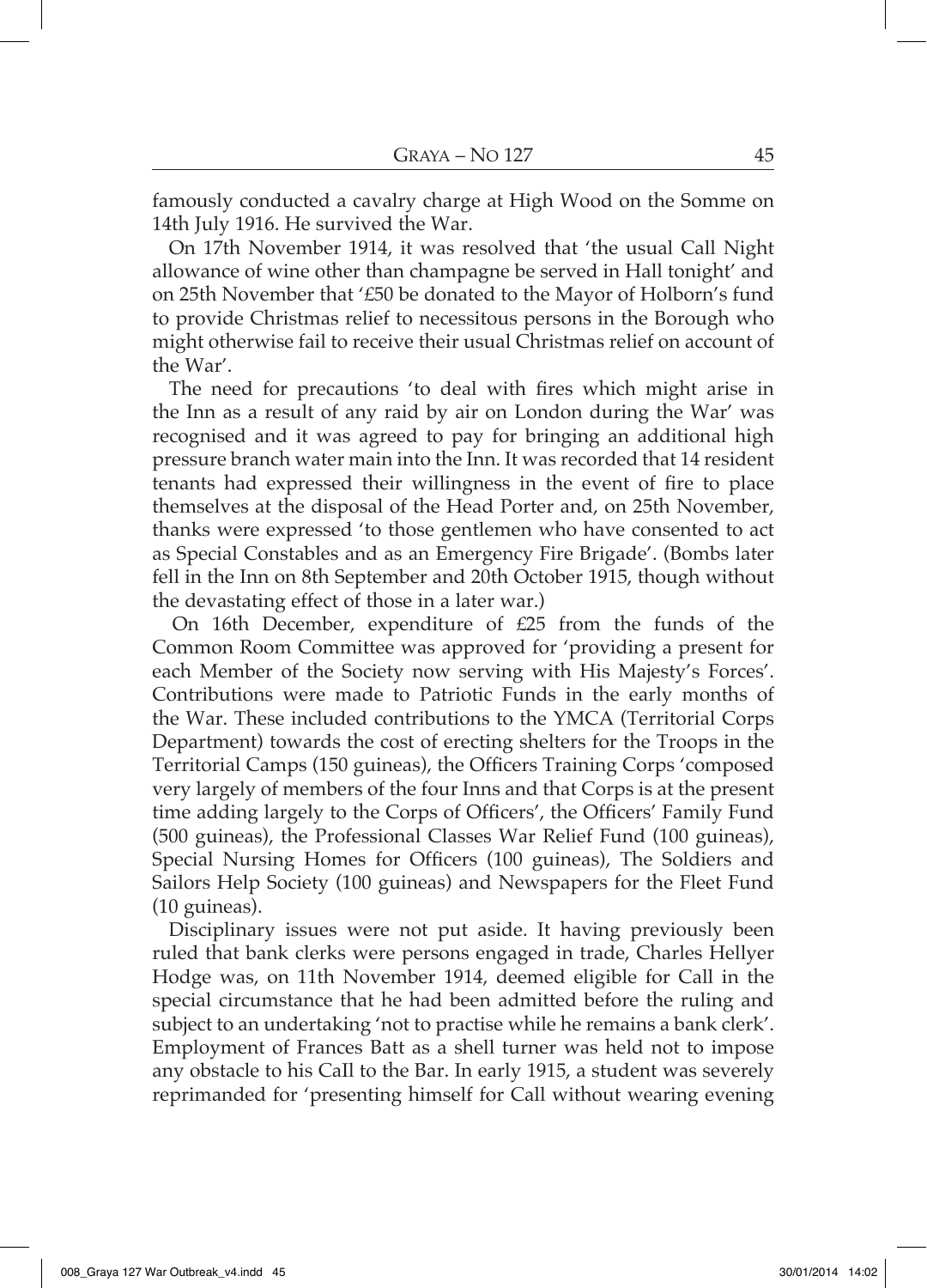famously conducted a cavalry charge at High Wood on the Somme on 14th July 1916. He survived the War.

On 17th November 1914, it was resolved that 'the usual Call Night allowance of wine other than champagne be served in Hall tonight' and on 25th November that '£50 be donated to the Mayor of Holborn's fund to provide Christmas relief to necessitous persons in the Borough who might otherwise fail to receive their usual Christmas relief on account of the War'.

The need for precautions 'to deal with fires which might arise in the Inn as a result of any raid by air on London during the War' was recognised and it was agreed to pay for bringing an additional high pressure branch water main into the Inn. It was recorded that 14 resident tenants had expressed their willingness in the event of fire to place themselves at the disposal of the Head Porter and, on 25th November, thanks were expressed 'to those gentlemen who have consented to act as Special Constables and as an Emergency Fire Brigade'. (Bombs later fell in the Inn on 8th September and 20th October 1915, though without the devastating effect of those in a later war.)

On 16th December, expenditure of £25 from the funds of the Common Room Committee was approved for 'providing a present for each Member of the Society now serving with His Majesty's Forces'. Contributions were made to Patriotic Funds in the early months of the War. These included contributions to the YMCA (Territorial Corps Department) towards the cost of erecting shelters for the Troops in the Territorial Camps (150 guineas), the Officers Training Corps 'composed very largely of members of the four Inns and that Corps is at the present time adding largely to the Corps of Officers', the Officers' Family Fund (500 guineas), the Professional Classes War Relief Fund (100 guineas), Special Nursing Homes for Officers (100 guineas), The Soldiers and Sailors Help Society (100 guineas) and Newspapers for the Fleet Fund  $(10 \text{ guineas}).$ 

Disciplinary issues were not put aside. It having previously been ruled that bank clerks were persons engaged in trade, Charles Hellyer Hodge was, on 11th November 1914, deemed eligible for Call in the special circumstance that he had been admitted before the ruling and subject to an undertaking 'not to practise while he remains a bank clerk'. Employment of Frances Batt as a shell turner was held not to impose any obstacle to his Call to the Bar. In early 1915, a student was severely reprimanded for 'presenting himself for Call without wearing evening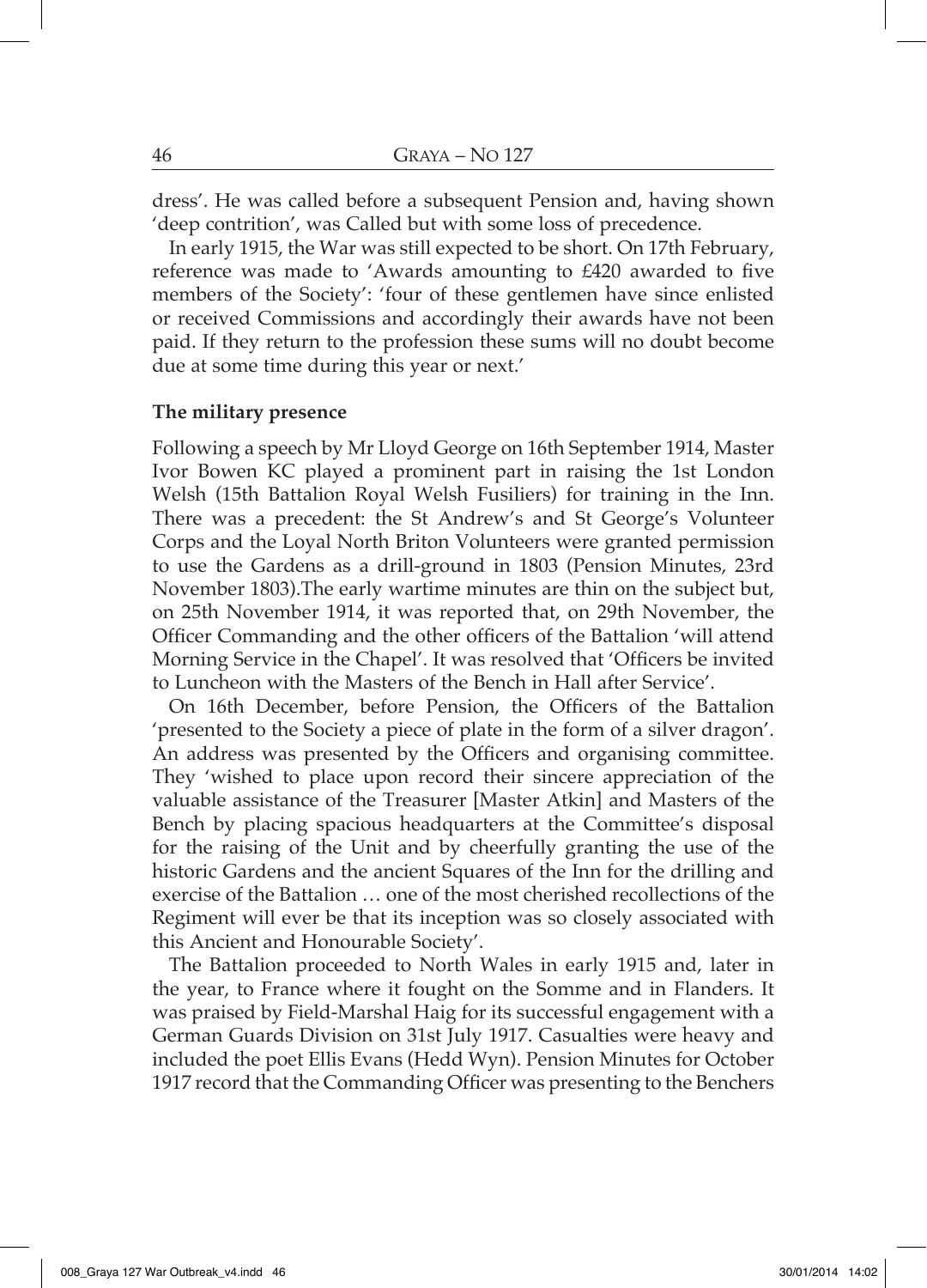dress'. He was called before a subsequent Pension and, having shown 'deep contrition', was Called but with some loss of precedence.

In early 1915, the War was still expected to be short. On 17th February, reference was made to 'Awards amounting to £420 awarded to five members of the Society': 'four of these gentlemen have since enlisted or received Commissions and accordingly their awards have not been paid. If they return to the profession these sums will no doubt become due at some time during this year or next.'

## The military presence

Following a speech by Mr Lloyd George on 16th September 1914, Master Ivor Bowen KC played a prominent part in raising the 1st London Welsh (15th Battalion Royal Welsh Fusiliers) for training in the Inn. There was a precedent: the St Andrew's and St George's Volunteer Corps and the Loyal North Briton Volunteers were granted permission to use the Gardens as a drill-ground in 1803 (Pension Minutes, 23rd November 1803). The early wartime minutes are thin on the subject but, on 25th November 1914, it was reported that, on 29th November, the Officer Commanding and the other officers of the Battalion 'will attend Morning Service in the Chapel'. It was resolved that 'Officers be invited to Luncheon with the Masters of the Bench in Hall after Service'.

On 16th December, before Pension, the Officers of the Battalion 'presented to the Society a piece of plate in the form of a silver dragon'. An address was presented by the Officers and organising committee. They 'wished to place upon record their sincere appreciation of the valuable assistance of the Treasurer [Master Atkin] and Masters of the Bench by placing spacious headquarters at the Committee's disposal for the raising of the Unit and by cheerfully granting the use of the historic Gardens and the ancient Squares of the Inn for the drilling and exercise of the Battalion ... one of the most cherished recollections of the Regiment will ever be that its inception was so closely associated with this Ancient and Honourable Society'.

The Battalion proceeded to North Wales in early 1915 and, later in the year, to France where it fought on the Somme and in Flanders. It was praised by Field-Marshal Haig for its successful engagement with a German Guards Division on 31st July 1917. Casualties were heavy and included the poet Ellis Evans (Hedd Wyn). Pension Minutes for October 1917 record that the Commanding Officer was presenting to the Benchers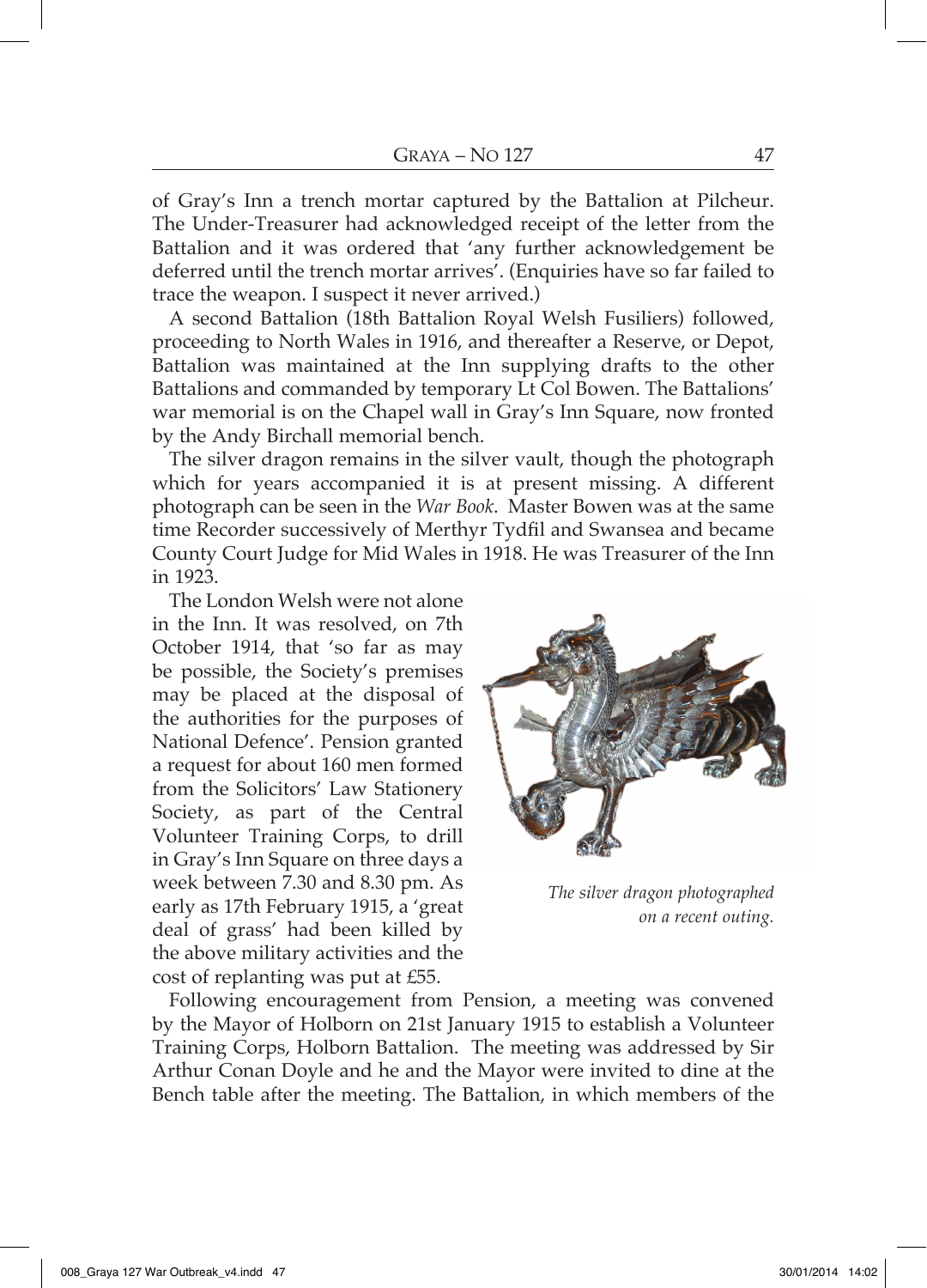of Gray's Inn a trench mortar captured by the Battalion at Pilcheur. The Under-Treasurer had acknowledged receipt of the letter from the Battalion and it was ordered that 'any further acknowledgement be deferred until the trench mortar arrives'. (Enquiries have so far failed to trace the weapon. I suspect it never arrived.)

A second Battalion (18th Battalion Royal Welsh Fusiliers) followed, proceeding to North Wales in 1916, and thereafter a Reserve, or Depot, Battalion was maintained at the Inn supplying drafts to the other Battalions and commanded by temporary Lt Col Bowen. The Battalions' war memorial is on the Chapel wall in Gray's Inn Square, now fronted by the Andy Birchall memorial bench.

The silver dragon remains in the silver vault, though the photograph which for years accompanied it is at present missing. A different photograph can be seen in the War Book. Master Bowen was at the same time Recorder successively of Merthyr Tydfil and Swansea and became County Court Judge for Mid Wales in 1918. He was Treasurer of the Inn in 1923.

The London Welsh were not alone in the Inn. It was resolved, on 7th October 1914, that 'so far as may be possible, the Society's premises may be placed at the disposal of the authorities for the purposes of National Defence'. Pension granted a request for about 160 men formed from the Solicitors' Law Stationery Society, as part of the Central Volunteer Training Corps, to drill in Gray's Inn Square on three days a week between 7.30 and 8.30 pm. As early as 17th February 1915, a 'great deal of grass' had been killed by the above military activities and the cost of replanting was put at £55.



The silver dragon photographed on a recent outing.

Following encouragement from Pension, a meeting was convened by the Mayor of Holborn on 21st January 1915 to establish a Volunteer Training Corps, Holborn Battalion. The meeting was addressed by Sir Arthur Conan Doyle and he and the Mayor were invited to dine at the Bench table after the meeting. The Battalion, in which members of the